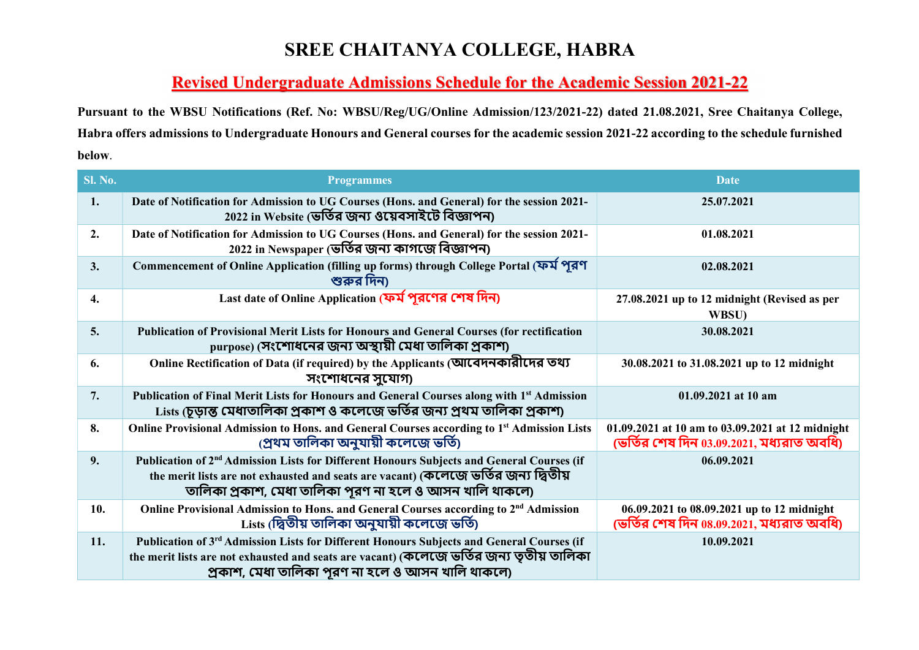## SREE CHAITANYA COLLEGE, HABRA

## Revised Undergraduate Admissions Schedule for the Academic Session 2021-22

Pursuant to the WBSU Notifications (Ref. No: WBSU/Reg/UG/Online Admission/123/2021-22) dated 21.08.2021, Sree Chaitanya College, Habra offers admissions to Undergraduate Honours and General courses for the academic session 2021-22 according to the schedule furnished below.

|                | Habra offers admissions to Undergraduate Honours and General courses for the academic session 2021-22 according to the schedule furnished                                                                                                                |                                                                                               |  |  |
|----------------|----------------------------------------------------------------------------------------------------------------------------------------------------------------------------------------------------------------------------------------------------------|-----------------------------------------------------------------------------------------------|--|--|
| below.         |                                                                                                                                                                                                                                                          |                                                                                               |  |  |
| <b>Sl. No.</b> | <b>Programmes</b>                                                                                                                                                                                                                                        | <b>Date</b>                                                                                   |  |  |
| 1.             | Date of Notification for Admission to UG Courses (Hons. and General) for the session 2021-<br>2022 in Website (ভর্তির জন্য ওয়েবসাইটে বিজ্ঞাপন)                                                                                                          | 25.07.2021                                                                                    |  |  |
| 2.             | Date of Notification for Admission to UG Courses (Hons. and General) for the session 2021-<br>2022 in Newspaper (ভর্তির জন্য কাগজে বিজ্ঞাপন)                                                                                                             | 01.08.2021                                                                                    |  |  |
| 3.             | Commencement of Online Application (filling up forms) through College Portal (ফর্ম পূরণ<br>শুরুর দিন)                                                                                                                                                    | 02.08.2021                                                                                    |  |  |
| 4.             | Last date of Online Application (ফর্ম পূরণের শেষ দিন)                                                                                                                                                                                                    | 27.08.2021 up to 12 midnight (Revised as per<br>WBSU)                                         |  |  |
| 5.             | Publication of Provisional Merit Lists for Honours and General Courses (for rectification<br>purpose) (সংশোধনের জন্য অস্থায়ী মেধা তালিকা প্রকাশ)                                                                                                        | 30.08.2021                                                                                    |  |  |
| 6.             | Online Rectification of Data (if required) by the Applicants (আবেদনকারীদের তথ্য<br>সংশোধনের সুযোগ)                                                                                                                                                       | 30.08.2021 to 31.08.2021 up to 12 midnight                                                    |  |  |
| 7.             | Publication of Final Merit Lists for Honours and General Courses along with 1st Admission<br>Lists (চূড়ান্ত মেধাতালিকা প্রকাশ ও কলেজে ভর্তির জন্য প্রথম তালিকা প্রকাশ)                                                                                  | 01.09.2021 at 10 am                                                                           |  |  |
| 8.             | Online Provisional Admission to Hons. and General Courses according to 1st Admission Lists<br>(প্ৰথম তালিকা অনুযায়ী কলেজে ভৰ্তি)                                                                                                                        | 01.09.2021 at 10 am to 03.09.2021 at 12 midnight<br>(ভর্তির শেষ দিন 03.09.2021, মধ্যরাত অবধি) |  |  |
| 9.             | Publication of 2 <sup>nd</sup> Admission Lists for Different Honours Subjects and General Courses (if<br>the merit lists are not exhausted and seats are vacant) (কলেজে ভর্তির জন্য দ্বিতীয়<br>তালিকা প্রকাশ, মেধা তালিকা পূরণ না হলে ও আসন খালি থাকলে) | 06.09.2021                                                                                    |  |  |
| 10.            | Online Provisional Admission to Hons. and General Courses according to 2 <sup>nd</sup> Admission<br>Lists (দ্বিতীয় তালিকা অনুযায়ী কলেজে ভৰ্তি)                                                                                                         | 06.09.2021 to 08.09.2021 up to 12 midnight<br>(ভর্তির শেষ দিন $08.09.2021$ , মধ্যরাত অবধি)    |  |  |
| 11.            | Publication of 3rd Admission Lists for Different Honours Subjects and General Courses (if<br>the merit lists are not exhausted and seats are vacant) (কলেজে ভর্তির জন্য তৃতীয় তালিকা<br>প্রকাশ, মেধা তালিকা পূরণ না হলে ও আসন খালি থাকলে)               | 10.09.2021                                                                                    |  |  |